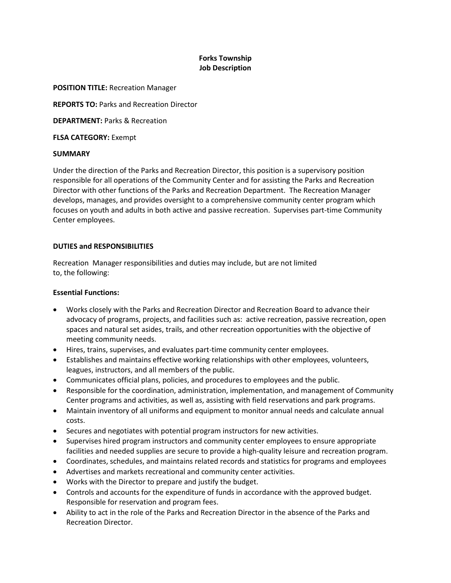# **Forks Township Job Description**

#### **POSITION TITLE:** Recreation Manager

**REPORTS TO:** Parks and Recreation Director

**DEPARTMENT:** Parks & Recreation

**FLSA CATEGORY:** Exempt

#### **SUMMARY**

Under the direction of the Parks and Recreation Director, this position is a supervisory position responsible for all operations of the Community Center and for assisting the Parks and Recreation Director with other functions of the Parks and Recreation Department. The Recreation Manager develops, manages, and provides oversight to a comprehensive community center program which focuses on youth and adults in both active and passive recreation. Supervises part-time Community Center employees.

# **DUTIES and RESPONSIBILITIES**

Recreation Manager responsibilities and duties may include, but are not limited to, the following:

## **Essential Functions:**

- Works closely with the Parks and Recreation Director and Recreation Board to advance their advocacy of programs, projects, and facilities such as: active recreation, passive recreation, open spaces and natural set asides, trails, and other recreation opportunities with the objective of meeting community needs.
- Hires, trains, supervises, and evaluates part-time community center employees.
- Establishes and maintains effective working relationships with other employees, volunteers, leagues, instructors, and all members of the public.
- Communicates official plans, policies, and procedures to employees and the public.
- Responsible for the coordination, administration, implementation, and management of Community Center programs and activities, as well as, assisting with field reservations and park programs.
- Maintain inventory of all uniforms and equipment to monitor annual needs and calculate annual costs.
- Secures and negotiates with potential program instructors for new activities.
- Supervises hired program instructors and community center employees to ensure appropriate facilities and needed supplies are secure to provide a high-quality leisure and recreation program.
- Coordinates, schedules, and maintains related records and statistics for programs and employees
- Advertises and markets recreational and community center activities.
- Works with the Director to prepare and justify the budget.
- Controls and accounts for the expenditure of funds in accordance with the approved budget. Responsible for reservation and program fees.
- Ability to act in the role of the Parks and Recreation Director in the absence of the Parks and Recreation Director.